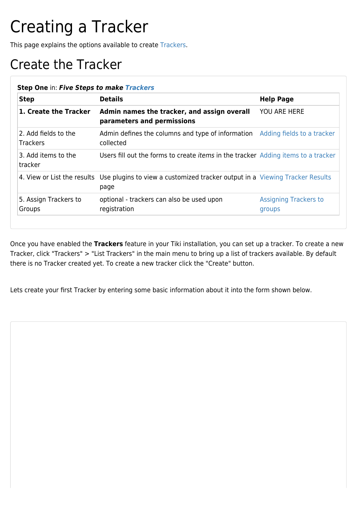## Creating a Tracker

This page explains the options available to create [Trackers](https://doc.tiki.org/Trackers).

## Create the Tracker

| <b>Step</b>                             | <b>Details</b>                                                                                                   | <b>Help Page</b>                       |
|-----------------------------------------|------------------------------------------------------------------------------------------------------------------|----------------------------------------|
| 1. Create the Tracker                   | Admin names the tracker, and assign overall<br>parameters and permissions                                        | <b>YOU ARE HERE</b>                    |
| 2. Add fields to the<br><b>Trackers</b> | Admin defines the columns and type of information Adding fields to a tracker<br>collected                        |                                        |
| 3. Add items to the<br>tracker          | Users fill out the forms to create <i>items</i> in the tracker Adding items to a tracker                         |                                        |
|                                         | 4. View or List the results Use plugins to view a customized tracker output in a Viewing Tracker Results<br>page |                                        |
| 5. Assign Trackers to<br>Groups         | optional - trackers can also be used upon<br>registration                                                        | <b>Assigning Trackers to</b><br>groups |

Once you have enabled the **Trackers** feature in your Tiki installation, you can set up a tracker. To create a new Tracker, click "Trackers" > "List Trackers" in the main menu to bring up a list of trackers available. By default there is no Tracker created yet. To create a new tracker click the "Create" button.

Lets create your first Tracker by entering some basic information about it into the form shown below.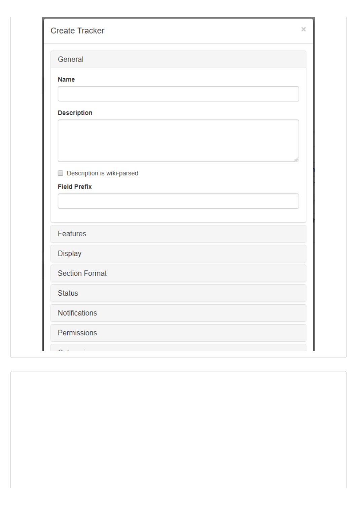| <b>Create Tracker</b>      | × |
|----------------------------|---|
| General                    |   |
| <b>Name</b>                |   |
|                            |   |
| Description                |   |
|                            |   |
| Description is wiki-parsed |   |
| <b>Field Prefix</b>        |   |
|                            |   |
|                            |   |
| Features                   |   |
| Display                    |   |
| <b>Section Format</b>      |   |
| <b>Status</b>              |   |
| Notifications              |   |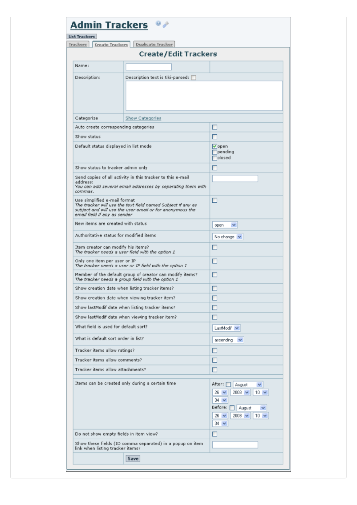| $\bullet$<br><b>Admin Trackers</b><br>List Trackers                                    |                                                                                                                           |                                                                                                                                                                              |  |
|----------------------------------------------------------------------------------------|---------------------------------------------------------------------------------------------------------------------------|------------------------------------------------------------------------------------------------------------------------------------------------------------------------------|--|
| Trackers<br><b>Create Trackers</b>                                                     | <b>Duplicate Tracker</b>                                                                                                  |                                                                                                                                                                              |  |
|                                                                                        | <b>Create/Edit Trackers</b>                                                                                               |                                                                                                                                                                              |  |
| Name:                                                                                  |                                                                                                                           |                                                                                                                                                                              |  |
| Description:                                                                           | Description text is tiki-parsed:                                                                                          |                                                                                                                                                                              |  |
| Categorize                                                                             | Show Categories                                                                                                           |                                                                                                                                                                              |  |
| Auto create corresponding categories                                                   |                                                                                                                           |                                                                                                                                                                              |  |
| Show status                                                                            |                                                                                                                           |                                                                                                                                                                              |  |
| Default status displayed in list mode                                                  |                                                                                                                           | $ $ open<br>pending<br><b>T</b> closed                                                                                                                                       |  |
| Show status to tracker admin only                                                      |                                                                                                                           |                                                                                                                                                                              |  |
| address:<br>commas.                                                                    | Send copies of all activity in this tracker to this e-mail<br>You can add several email addresses by separating them with |                                                                                                                                                                              |  |
| Use simplified e-mail format<br>email field if any as sender                           | The tracker will use the text field named Subject if any as<br>subject and will use the user email or for anonymous the   |                                                                                                                                                                              |  |
| New items are created with status                                                      |                                                                                                                           | open<br>v                                                                                                                                                                    |  |
| Authoritative status for modified items                                                |                                                                                                                           | No change $\vee$                                                                                                                                                             |  |
| Item creator can modify his items?<br>The tracker needs a user field with the option 1 |                                                                                                                           |                                                                                                                                                                              |  |
| Only one item per user or IP                                                           | The tracker needs a user or IP field with the option 1                                                                    |                                                                                                                                                                              |  |
|                                                                                        | Member of the default group of creator can modify items?<br>The tracker needs a group field with the option 1             |                                                                                                                                                                              |  |
|                                                                                        | Show creation date when listing tracker items?                                                                            |                                                                                                                                                                              |  |
|                                                                                        | Show creation date when viewing tracker item?                                                                             |                                                                                                                                                                              |  |
|                                                                                        | Show lastModif date when listing tracker items?                                                                           |                                                                                                                                                                              |  |
|                                                                                        | Show lastModif date when viewing tracker item?                                                                            |                                                                                                                                                                              |  |
| What field is used for default sort?                                                   |                                                                                                                           | LastModif v                                                                                                                                                                  |  |
| What is default sort order in list?                                                    |                                                                                                                           | ascending<br>×                                                                                                                                                               |  |
| Tracker items allow ratings?                                                           |                                                                                                                           |                                                                                                                                                                              |  |
| Tracker items allow comments?                                                          |                                                                                                                           |                                                                                                                                                                              |  |
| Tracker items allow attachments?                                                       |                                                                                                                           |                                                                                                                                                                              |  |
|                                                                                        | Items can be created only during a certain time                                                                           | After:  <br>August<br>v<br>$2008 \times$<br>$26 \times$<br>$10 \vee$<br>$34 \times$<br>Before:<br>August<br>$2008 \times$<br>$26 \sqrt{ }$<br>10 <sub>1</sub><br>$34 \times$ |  |
| Do not show empty fields in item view?                                                 |                                                                                                                           |                                                                                                                                                                              |  |
| link when listing tracker items?                                                       | Show these fields (ID comma separated) in a popup on item                                                                 |                                                                                                                                                                              |  |
|                                                                                        | Save                                                                                                                      |                                                                                                                                                                              |  |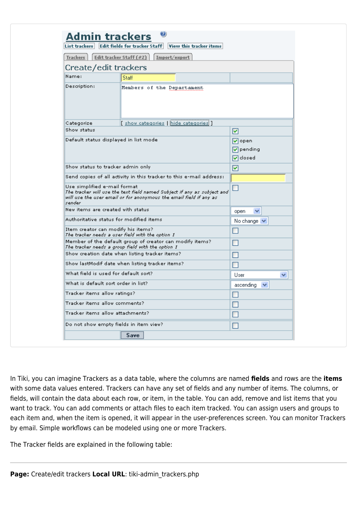| <b>Trackers</b>                                                                                                                                                                                                                                                                                              | Edit tracker Staff (#2)<br>Import/export                                                                                                      |                                                       |
|--------------------------------------------------------------------------------------------------------------------------------------------------------------------------------------------------------------------------------------------------------------------------------------------------------------|-----------------------------------------------------------------------------------------------------------------------------------------------|-------------------------------------------------------|
| Create/edit trackers                                                                                                                                                                                                                                                                                         |                                                                                                                                               |                                                       |
| Name:                                                                                                                                                                                                                                                                                                        | Staff                                                                                                                                         |                                                       |
| Description:                                                                                                                                                                                                                                                                                                 | Members of the Departament                                                                                                                    |                                                       |
| Categorize                                                                                                                                                                                                                                                                                                   | [ <u>show categories</u>   <u>hide categories</u> ]                                                                                           |                                                       |
| Show status                                                                                                                                                                                                                                                                                                  |                                                                                                                                               | ⊻                                                     |
| Default status displayed in list mode                                                                                                                                                                                                                                                                        |                                                                                                                                               | l√∣open<br>$\nabla$ pending<br>$\triangledown$ closed |
| Show status to tracker admin only                                                                                                                                                                                                                                                                            |                                                                                                                                               | ⊻                                                     |
|                                                                                                                                                                                                                                                                                                              | Send copies of all activity in this tracker to this e-mail address:                                                                           |                                                       |
| Use simplified e-mail format<br>sender                                                                                                                                                                                                                                                                       | The tracker will use the text field named Subject if any as subject and<br>will use the user email or for anonymous the email field if any as |                                                       |
| New items are created with status                                                                                                                                                                                                                                                                            |                                                                                                                                               |                                                       |
|                                                                                                                                                                                                                                                                                                              |                                                                                                                                               | ×<br>open                                             |
|                                                                                                                                                                                                                                                                                                              |                                                                                                                                               | No change   v                                         |
|                                                                                                                                                                                                                                                                                                              | The tracker needs a user field with the option 1                                                                                              |                                                       |
|                                                                                                                                                                                                                                                                                                              | Member of the default group of creator can modify items?<br>The tracker needs a group field with the option 1                                 |                                                       |
|                                                                                                                                                                                                                                                                                                              | Show creation date when listing tracker items?                                                                                                |                                                       |
|                                                                                                                                                                                                                                                                                                              | Show lastModif date when listing tracker items?                                                                                               |                                                       |
|                                                                                                                                                                                                                                                                                                              |                                                                                                                                               | User<br>×                                             |
|                                                                                                                                                                                                                                                                                                              |                                                                                                                                               | ascending                                             |
|                                                                                                                                                                                                                                                                                                              |                                                                                                                                               | ᅳ                                                     |
|                                                                                                                                                                                                                                                                                                              |                                                                                                                                               |                                                       |
|                                                                                                                                                                                                                                                                                                              |                                                                                                                                               |                                                       |
| Authoritative status for modified items.<br>Item creator can modify his items?<br>What field is used for default sort?<br>What is default sort order in list?<br>Tracker items allow ratings?<br>Tracker items allow comments?<br>Tracker items allow attachments?<br>Do not show empty fields in item view? |                                                                                                                                               |                                                       |

In Tiki, you can imagine Trackers as a data table, where the columns are named **fields** and rows are the **items** with some data values entered. Trackers can have any set of fields and any number of items. The columns, or fields, will contain the data about each row, or item, in the table. You can add, remove and list items that you want to track. You can add comments or attach files to each item tracked. You can assign users and groups to each item and, when the item is opened, it will appear in the user-preferences screen. You can monitor Trackers by email. Simple workflows can be modeled using one or more Trackers.

The Tracker fields are explained in the following table: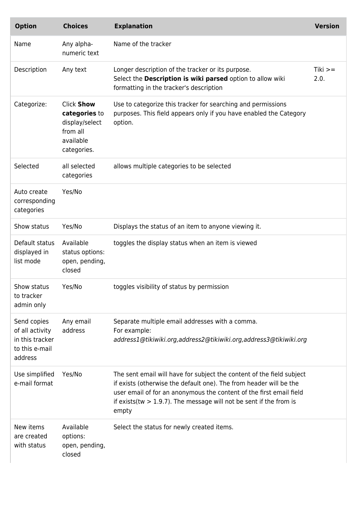| <b>Option</b>                                                                  | <b>Choices</b>                                                                               | <b>Explanation</b>                                                                                                                                                                                                                                                                                    | <b>Version</b> |
|--------------------------------------------------------------------------------|----------------------------------------------------------------------------------------------|-------------------------------------------------------------------------------------------------------------------------------------------------------------------------------------------------------------------------------------------------------------------------------------------------------|----------------|
| Name                                                                           | Any alpha-<br>numeric text                                                                   | Name of the tracker                                                                                                                                                                                                                                                                                   |                |
| Description                                                                    | Any text                                                                                     | Longer description of the tracker or its purpose.<br>Select the Description is wiki parsed option to allow wiki<br>formatting in the tracker's description                                                                                                                                            | Tiki<br>2.0.   |
| Categorize:                                                                    | <b>Click Show</b><br>categories to<br>display/select<br>from all<br>available<br>categories. | Use to categorize this tracker for searching and permissions<br>purposes. This field appears only if you have enabled the Category<br>option.                                                                                                                                                         |                |
| Selected                                                                       | all selected<br>categories                                                                   | allows multiple categories to be selected                                                                                                                                                                                                                                                             |                |
| Auto create<br>corresponding<br>categories                                     | Yes/No                                                                                       |                                                                                                                                                                                                                                                                                                       |                |
| Show status                                                                    | Yes/No                                                                                       | Displays the status of an item to anyone viewing it.                                                                                                                                                                                                                                                  |                |
| Default status<br>displayed in<br>list mode                                    | Available<br>status options:<br>open, pending,<br>closed                                     | toggles the display status when an item is viewed                                                                                                                                                                                                                                                     |                |
| Show status<br>to tracker<br>admin only                                        | Yes/No                                                                                       | toggles visibility of status by permission                                                                                                                                                                                                                                                            |                |
| Send copies<br>of all activity<br>in this tracker<br>to this e-mail<br>address | Any email<br>address                                                                         | Separate multiple email addresses with a comma.<br>For example:<br>address1@tikiwiki.org,address2@tikiwiki.org,address3@tikiwiki.org                                                                                                                                                                  |                |
| Use simplified<br>e-mail format                                                | Yes/No                                                                                       | The sent email will have for subject the content of the field subject<br>if exists (otherwise the default one). The from header will be the<br>user email of for an anonymous the content of the first email field<br>if exists (tw $> 1.9.7$ ). The message will not be sent if the from is<br>empty |                |
| New items<br>are created<br>with status                                        | Available<br>options:<br>open, pending,<br>closed                                            | Select the status for newly created items.                                                                                                                                                                                                                                                            |                |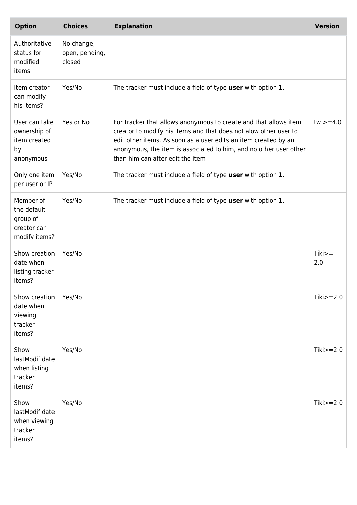| <b>Option</b>                                                        | <b>Choices</b>                         | <b>Explanation</b>                                                                                                                                                                                                                                                                                               | <b>Version</b>  |
|----------------------------------------------------------------------|----------------------------------------|------------------------------------------------------------------------------------------------------------------------------------------------------------------------------------------------------------------------------------------------------------------------------------------------------------------|-----------------|
| Authoritative<br>status for<br>modified<br>items                     | No change,<br>open, pending,<br>closed |                                                                                                                                                                                                                                                                                                                  |                 |
| Item creator<br>can modify<br>his items?                             | Yes/No                                 | The tracker must include a field of type user with option 1.                                                                                                                                                                                                                                                     |                 |
| User can take<br>ownership of<br>item created<br>by<br>anonymous     | Yes or No                              | For tracker that allows anonymous to create and that allows item<br>creator to modify his items and that does not alow other user to<br>edit other items. As soon as a user edits an item created by an<br>anonymous, the item is associated to him, and no other user other<br>than him can after edit the item | $tw > = 4.0$    |
| Only one item<br>per user or IP                                      | Yes/No                                 | The tracker must include a field of type user with option 1.                                                                                                                                                                                                                                                     |                 |
| Member of<br>the default<br>group of<br>creator can<br>modify items? | Yes/No                                 | The tracker must include a field of type user with option 1.                                                                                                                                                                                                                                                     |                 |
| Show creation<br>date when<br>listing tracker<br>items?              | Yes/No                                 |                                                                                                                                                                                                                                                                                                                  | $Tiki>=$<br>2.0 |
| Show creation<br>date when<br>viewing<br>tracker<br>items?           | Yes/No                                 |                                                                                                                                                                                                                                                                                                                  | Tiki $>=2.0$    |
| Show<br>lastModif date<br>when listing<br>tracker<br>items?          | Yes/No                                 |                                                                                                                                                                                                                                                                                                                  | $Tiki>=2.0$     |
| Show<br>lastModif date<br>when viewing<br>tracker<br>items?          | Yes/No                                 |                                                                                                                                                                                                                                                                                                                  | $Tiki>=2.0$     |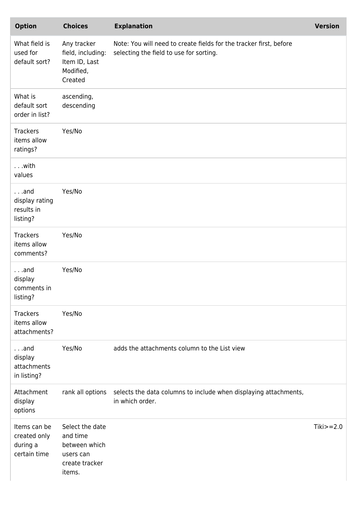| <b>Option</b>                                            | <b>Choices</b>                                                                        | <b>Explanation</b>                                                                                            | <b>Version</b> |
|----------------------------------------------------------|---------------------------------------------------------------------------------------|---------------------------------------------------------------------------------------------------------------|----------------|
| What field is<br>used for<br>default sort?               | Any tracker<br>field, including:<br>Item ID, Last<br>Modified,<br>Created             | Note: You will need to create fields for the tracker first, before<br>selecting the field to use for sorting. |                |
| What is<br>default sort<br>order in list?                | ascending,<br>descending                                                              |                                                                                                               |                |
| <b>Trackers</b><br>items allow<br>ratings?               | Yes/No                                                                                |                                                                                                               |                |
| with<br>values                                           |                                                                                       |                                                                                                               |                |
| $\ldots$ and<br>display rating<br>results in<br>listing? | Yes/No                                                                                |                                                                                                               |                |
| <b>Trackers</b><br>items allow<br>comments?              | Yes/No                                                                                |                                                                                                               |                |
| $\ldots$ and<br>display<br>comments in<br>listing?       | Yes/No                                                                                |                                                                                                               |                |
| <b>Trackers</b><br>items allow<br>attachments?           | Yes/No                                                                                |                                                                                                               |                |
| $\ldots$ and<br>display<br>attachments<br>in listing?    | Yes/No                                                                                | adds the attachments column to the List view                                                                  |                |
| Attachment<br>display<br>options                         | rank all options                                                                      | selects the data columns to include when displaying attachments,<br>in which order.                           |                |
| Items can be<br>created only<br>during a<br>certain time | Select the date<br>and time<br>between which<br>users can<br>create tracker<br>items. |                                                                                                               | $Tiki>=2.0$    |